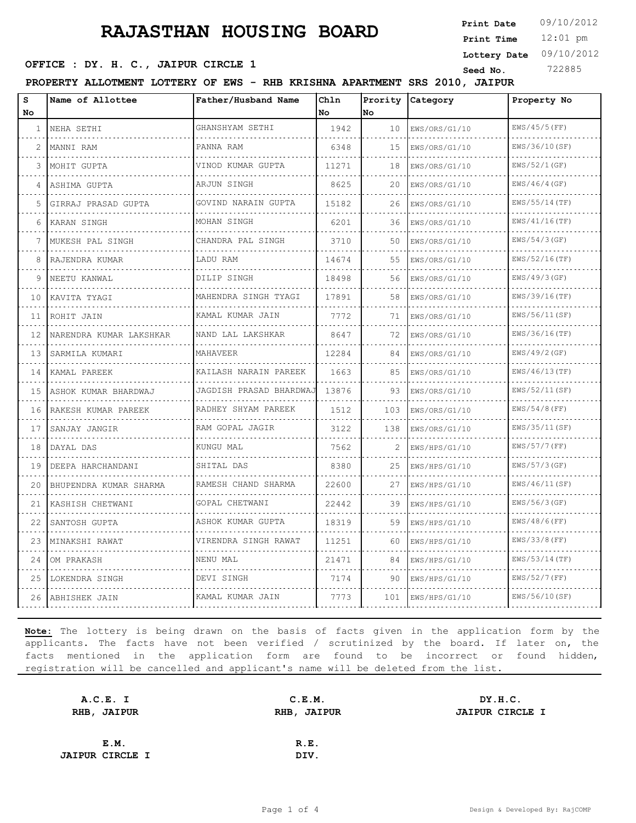# **RAJASTHAN HOUSING BOARD**

12:01 pm **Print Time Print Date**  $09/10/2012$ **Lottery Date** 09/10/2012

## **SEED OFFICE : DY. H. C., JAIPUR CIRCLE 1** Seed No. 222885

**PROPERTY ALLOTMENT LOTTERY OF EWS - RHB KRISHNA APARTMENT SRS 2010, JAIPUR**

| s<br>No | Name of Allottee        | Father/Husband Name      | Chln<br>No | Prority<br>No | Category      | Property No      |
|---------|-------------------------|--------------------------|------------|---------------|---------------|------------------|
| 1       | NEHA SETHI              | GHANSHYAM SETHI          | 1942       | 10            | EWS/ORS/G1/10 | $EWS/45/5$ (FF)  |
| 2       | MANNI RAM               | PANNA RAM                | 6348       | 15            | EWS/ORS/G1/10 | EWS/36/10(SF)    |
| 3       | MOHIT GUPTA             | VINOD KUMAR GUPTA        | 11271      | 18            | EWS/ORS/G1/10 | EWS/52/1(GF)     |
| 4       | ASHIMA GUPTA            | ARJUN SINGH<br>.         | 8625       | 20            | EWS/ORS/G1/10 | EWS/46/4(GF)     |
| 5       | GIRRAJ PRASAD GUPTA     | GOVIND NARAIN GUPTA<br>. | 15182      | 26            | EWS/ORS/G1/10 | $EWS/55/14$ (TF) |
| 6       | KARAN SINGH             | MOHAN SINGH              | 6201       | 36            | EWS/ORS/G1/10 | $EWS/41/16$ (TF) |
| 7       | MUKESH PAL SINGH        | CHANDRA PAL SINGH        | 3710       | 50            | EWS/ORS/G1/10 | $EWS/54/3$ (GF)  |
| 8       | RAJENDRA KUMAR          | LADU RAM                 | 14674      | 55            | EWS/ORS/G1/10 | EWS/52/16(TF)    |
| 9       | NEETU KANWAL            | DILIP SINGH              | 18498      | 56            | EWS/ORS/G1/10 | EWS/49/3(GF)     |
| 10      | KAVITA TYAGI            | MAHENDRA SINGH TYAGI     | 17891      | 58            | EWS/ORS/G1/10 | EWS/39/16(TF)    |
| 11      | ROHIT JAIN              | KAMAL KUMAR JAIN<br>.    | 7772       | 71            | EWS/ORS/G1/10 | EWS/56/11(SF)    |
| 12      | NARENDRA KUMAR LAKSHKAR | NAND LAL LAKSHKAR        | 8647       | 72            | EWS/ORS/G1/10 | $EWS/36/16$ (TF) |
| 13      | SARMILA KUMARI          | MAHAVEER                 | 12284      | 84            | EWS/ORS/G1/10 | EWS/49/2(GF)     |
| 14      | KAMAL PAREEK            | KAILASH NARAIN PAREEK    | 1663       | 85            | EWS/ORS/G1/10 | $EWS/46/13$ (TF) |
| 15      | ASHOK KUMAR BHARDWAJ    | JAGDISH PRASAD BHARDWAJ  | 13876      | 93            | EWS/ORS/G1/10 | EWS/52/11(SF)    |
| 16      | RAKESH KUMAR PAREEK     | RADHEY SHYAM PAREEK<br>. | 1512       | 103           | EWS/ORS/G1/10 | $EWS/54/8$ (FF)  |
| 17      | SANJAY JANGIR           | RAM GOPAL JAGIR          | 3122       | 138           | EWS/ORS/G1/10 | EWS/35/11(SF)    |
| 18      | DAYAL DAS               | KUNGU MAL                | 7562       | 2             | EWS/HPS/G1/10 | $EWS/57/7$ (FF)  |
| 19      | DEEPA HARCHANDANI       | SHITAL DAS               | 8380       | 25            | EWS/HPS/G1/10 | $EWS/57/3$ (GF)  |
| 20      | BHUPENDRA KUMAR SHARMA  | RAMESH CHAND SHARMA      | 22600      | 27            | EWS/HPS/G1/10 | EWS/46/11(SF)    |
| 21      | KASHISH CHETWANI        | GOPAL CHETWANI           | 22442      | 39            | EWS/HPS/G1/10 | EWS/56/3(GF)     |
| 22      | SANTOSH GUPTA           | ASHOK KUMAR GUPTA        | 18319      | 59            | EWS/HPS/G1/10 | $EWS/48/6$ (FF)  |
| 23      | MINAKSHI RAWAT          | VIRENDRA SINGH RAWAT     | 11251      | 60            | EWS/HPS/G1/10 | EWS/33/8 (FF)    |
| 24      | OM PRAKASH              | NENU MAL                 | 21471      | 84            | EWS/HPS/G1/10 | EWS/53/14 (TF)   |
| 25      | LOKENDRA SINGH          | DEVI SINGH               | 7174       | 90            | EWS/HPS/G1/10 | $EWS/52/7$ (FF)  |
| 26      | ABHISHEK JAIN           | KAMAL KUMAR JAIN         | 7773       | 101           | EWS/HPS/G1/10 | EWS/56/10(SF)    |

**Note:** The lottery is being drawn on the basis of facts given in the application form by the applicants. The facts have not been verified / scrutinized by the board. If later on, the facts mentioned in the application form are found to be incorrect or found hidden, registration will be cancelled and applicant's name will be deleted from the list.

| A.C.E. I               | C.E.M.      | DY.H.C.                |
|------------------------|-------------|------------------------|
| RHB, JAIPUR            | RHB, JAIPUR | <b>JAIPUR CIRCLE I</b> |
|                        |             |                        |
| E.M.                   | R.E.        |                        |
| <b>JAIPUR CIRCLE I</b> | DIV.        |                        |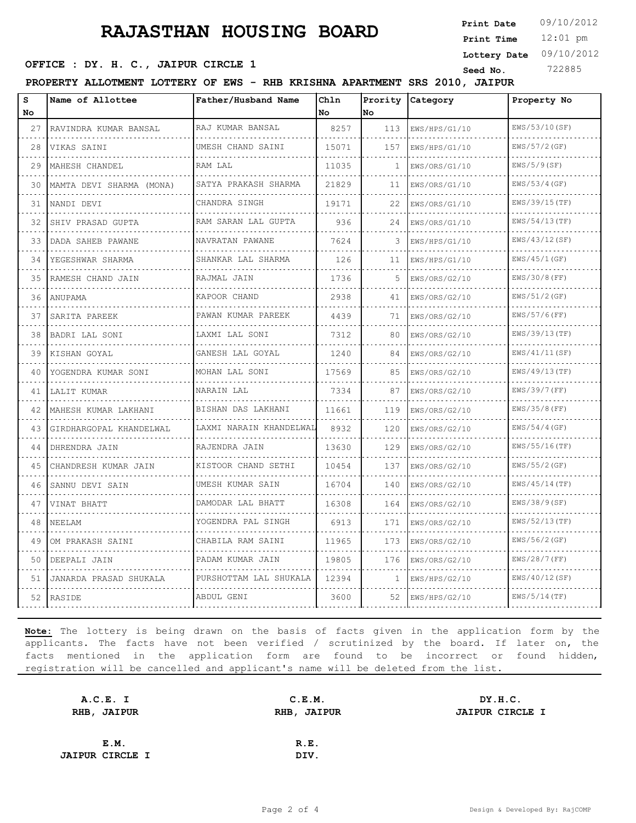# **RAJASTHAN HOUSING BOARD**

12:01 pm **Print Time Print Date**  $09/10/2012$ **Lottery Date** 09/10/2012

## **SEED OFFICE : DY. H. C., JAIPUR CIRCLE 1** Seed No. 222885

**PROPERTY ALLOTMENT LOTTERY OF EWS - RHB KRISHNA APARTMENT SRS 2010, JAIPUR**

| s<br>No | Name of Allottee         | Father/Husband Name       | Chln<br>No | Prority<br>No | Category      | Property No      |
|---------|--------------------------|---------------------------|------------|---------------|---------------|------------------|
| 27      | RAVINDRA KUMAR BANSAL    | RAJ KUMAR BANSAL          | 8257       | 113           | EWS/HPS/G1/10 | EWS/53/10(SF)    |
| 28      | VIKAS SAINI              | UMESH CHAND SAINI         | 15071      | 157           | EWS/HPS/G1/10 | EWS/57/2 (GF)    |
| 29      | MAHESH CHANDEL           | RAM LAL                   | 11035      | 1             | EWS/ORS/G1/10 | EWS/5/9(SF)      |
| 30      | MAMTA DEVI SHARMA (MONA) | SATYA PRAKASH SHARMA      | 21829      | 11            | EWS/ORS/G1/10 | EWS/53/4 (GF)    |
| 31      | NANDI DEVI               | CHANDRA SINGH<br><u>.</u> | 19171      | 22            | EWS/ORS/G1/10 | $EWS/39/15$ (TF) |
| 32      | SHIV PRASAD GUPTA        | RAM SARAN LAL GUPTA       | 936        | 24            | EWS/ORS/G1/10 | EWS/54/13(TF)    |
| 33      | DADA SAHEB PAWANE        | NAVRATAN PAWANE           | 7624       | 3             | EWS/HPS/G1/10 | EWS/43/12(SF)    |
| 34      | YEGESHWAR SHARMA         | SHANKAR LAL SHARMA        | 126        | 11            | EWS/HPS/G1/10 | EWS/45/1(GF)     |
| 35      | RAMESH CHAND JAIN        | RAJMAL JAIN               | 1736       | 5             | EWS/ORS/G2/10 | EWS/30/8 (FF)    |
| 36      | ANUPAMA                  | KAPOOR CHAND              | 2938       | 41            | EWS/ORS/G2/10 | EWS/51/2(GF)     |
| 37      | SARITA PAREEK            | PAWAN KUMAR PAREEK<br>.   | 4439       | 71            | EWS/ORS/G2/10 | $EWS/57/6$ (FF)  |
| 38      | BADRI LAL SONI           | LAXMI LAL SONI            | 7312       | 80            | EWS/ORS/G2/10 | $EWS/39/13$ (TF) |
| 39      | KISHAN GOYAL             | GANESH LAL GOYAL<br>.     | 1240       | 84            | EWS/ORS/G2/10 | EWS/41/11(SF)    |
| 40      | YOGENDRA KUMAR SONI      | MOHAN LAL SONI            | 17569      | 85            | EWS/ORS/G2/10 | $EWS/49/13$ (TF) |
| 41      | LALIT KUMAR              | NARAIN LAL                | 7334       | 87            | EWS/ORS/G2/10 | EWS/39/7 (FF)    |
| 42      | MAHESH KUMAR LAKHANI     | BISHAN DAS LAKHANI        | 11661      | 119           | EWS/ORS/G2/10 | $EWS/35/8$ (FF)  |
| 43      | GIRDHARGOPAL KHANDELWAL  | LAXMI NARAIN KHANDELWAL   | 8932       | 120           | EWS/ORS/G2/10 | $EWS/54/4$ (GF)  |
| 44      | DHRENDRA JAIN            | RAJENDRA JAIN             | 13630      | 129           | EWS/ORS/G2/10 | $EWS/55/16$ (TF) |
| 45      | CHANDRESH KUMAR JAIN     | KISTOOR CHAND SETHI       | 10454      | 137           | EWS/ORS/G2/10 | $EWS/55/2$ (GF)  |
| 46      | SANNU DEVI SAIN          | UMESH KUMAR SAIN          | 16704      | 140           | EWS/ORS/G2/10 | $EWS/45/14$ (TF) |
| 47      | VINAT BHATT              | DAMODAR LAL BHATT         | 16308      | 164           | EWS/ORS/G2/10 | EWS/38/9(SF)     |
| 48      | NEELAM                   | YOGENDRA PAL SINGH        | 6913       | 171           | EWS/ORS/G2/10 | $EWS/52/13$ (TF) |
| 49      | OM PRAKASH SAINI         | CHABILA RAM SAINI         | 11965      | 173           | EWS/ORS/G2/10 | EWS/56/2(GF)     |
| 50      | DEEPALI JAIN             | PADAM KUMAR JAIN          | 19805      | 176           | EWS/ORS/G2/10 | $EWS/28/7$ (FF)  |
| 51      | JANARDA PRASAD SHUKALA   | PURSHOTTAM LAL SHUKALA    | 12394      | 1             | EWS/HPS/G2/10 | EWS/40/12(SF)    |
| 52      | RASIDE                   | ABDUL GENI                | 3600       | 52            | EWS/HPS/G2/10 | $EWS/5/14$ (TF)  |

**Note:** The lottery is being drawn on the basis of facts given in the application form by the applicants. The facts have not been verified / scrutinized by the board. If later on, the facts mentioned in the application form are found to be incorrect or found hidden, registration will be cancelled and applicant's name will be deleted from the list.

| A.C.E. I               | C.E.M.      | DY.H.C.                |
|------------------------|-------------|------------------------|
| RHB, JAIPUR            | RHB, JAIPUR | <b>JAIPUR CIRCLE I</b> |
|                        |             |                        |
| E.M.                   | R.E.        |                        |
| <b>JAIPUR CIRCLE I</b> | DIV.        |                        |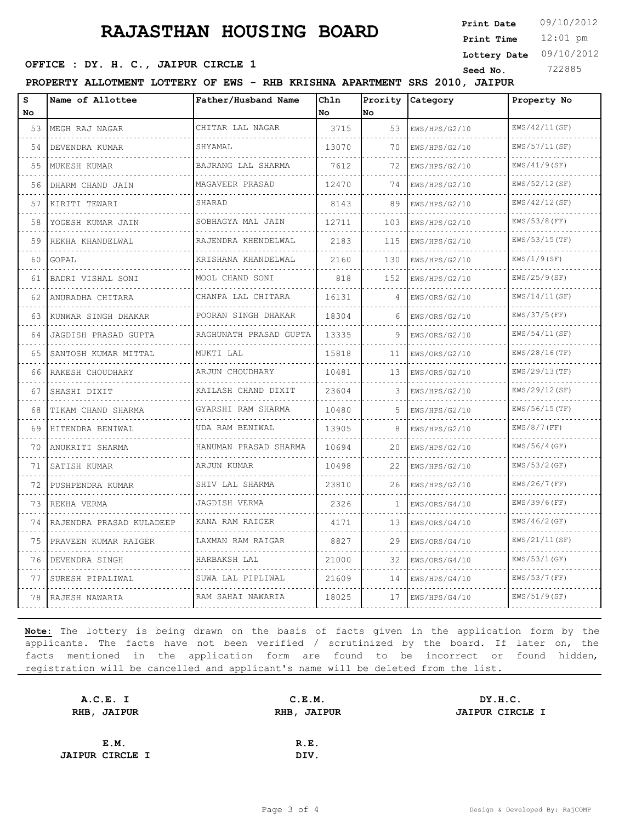# **RAJASTHAN HOUSING BOARD**

12:01 pm **Print Time Print Date**  $09/10/2012$ **Lottery Date** 09/10/2012

## **SEED OFFICE : DY. H. C., JAIPUR CIRCLE 1** Seed No. 222885

**PROPERTY ALLOTMENT LOTTERY OF EWS - RHB KRISHNA APARTMENT SRS 2010, JAIPUR**

| S   | Name of Allottee         | Father/Husband Name    | Chln  | Prority | <i>Category</i> | Property No      |
|-----|--------------------------|------------------------|-------|---------|-----------------|------------------|
| No. |                          |                        | No    | No      |                 |                  |
| 53  | MEGH RAJ NAGAR           | CHITAR LAL NAGAR       | 3715  | 53      | EWS/HPS/G2/10   | EWS/42/11(SF)    |
| 54  | DEVENDRA KUMAR           | SHYAMAL                | 13070 | 70      | EWS/HPS/G2/10   | EWS/57/11(SF)    |
| 55  | MUKESH KUMAR             | BAJRANG LAL SHARMA     | 7612  | 72      | EWS/HPS/G2/10   | EWS/41/9(SF)     |
| 56  | DHARM CHAND JAIN         | MAGAVEER PRASAD        | 12470 | 74      | EWS/HPS/G2/10   | EWS/52/12(SF)    |
| 57  | KIRITI TEWARI            | SHARAD                 | 8143  | 89      | EWS/HPS/G2/10   | EWS/42/12(SF)    |
| 58  | YOGESH KUMAR JAIN        | SOBHAGYA MAL JAIN      | 12711 | 103     | EWS/HPS/G2/10   | EWS/53/8 (FF)    |
| 59  | REKHA KHANDELWAL         | RAJENDRA KHENDELWAL    | 2183  | 115     | EWS/HPS/G2/10   | EWS/53/15 (TF)   |
| 60  | GOPAL                    | KRISHANA KHANDELWAL    | 2160  | 130     | EWS/HPS/G2/10   | EWS/1/9(SF)      |
| 61  | BADRI VISHAL SONI        | MOOL CHAND SONI        | 818   | 152     | EWS/HPS/G2/10   | EWS/25/9(SF)     |
| 62  | ANURADHA CHITARA         | CHANPA LAL CHITARA     | 16131 | 4       | EWS/ORS/G2/10   | EWS/14/11(SF)    |
| 63  | KUNWAR SINGH DHAKAR      | POORAN SINGH DHAKAR    | 18304 | 6       | EWS/ORS/G2/10   | $EWS/37/5$ (FF)  |
| 64  | JAGDISH PRASAD GUPTA     | RAGHUNATH PRASAD GUPTA | 13335 | 9       | EWS/ORS/G2/10   | EWS/54/11(SF)    |
| 65  | SANTOSH KUMAR MITTAL     | MUKTI LAL              | 15818 | 11      | EWS/ORS/G2/10   | $EWS/28/16$ (TF) |
| 66  | RAKESH CHOUDHARY         | ARJUN CHOUDHARY        | 10481 | 13      | EWS/ORS/G2/10   | EWS/29/13(TF)    |
| 67  | SHASHI DIXIT             | KAILASH CHAND DIXIT    | 23604 | 3       | EWS/HPS/G2/10   | EWS/29/12(SF)    |
| 68  | TIKAM CHAND SHARMA       | GYARSHI RAM SHARMA     | 10480 | 5       | EWS/HPS/G2/10   | $EWS/56/15$ (TF) |
| 69  | HITENDRA BENIWAL         | UDA RAM BENIWAL        | 13905 | 8       | EWS/HPS/G2/10   | $EWS/8/7$ (FF)   |
| 70  | ANUKRITI SHARMA          | HANUMAN PRASAD SHARMA  | 10694 | 20      | EWS/HPS/G2/10   | EWS/56/4 (GF)    |
| 71  | SATISH KUMAR             | ARJUN KUMAR            | 10498 | 22      | EWS/HPS/G2/10   | $EWS/53/2$ (GF)  |
| 72  | PUSHPENDRA KUMAR         | SHIV LAL SHARMA        | 23810 | 26      | EWS/HPS/G2/10   | $EWS/26/7$ (FF)  |
| 73  | REKHA VERMA              | JAGDISH VERMA          | 2326  | 1       | EWS/ORS/G4/10   | EWS/39/6 (FF)    |
| 74  | RAJENDRA PRASAD KULADEEP | KANA RAM RAIGER        | 4171  | 13      | EWS/ORS/G4/10   | EWS/46/2(GF)     |
| 75  | PRAVEEN KUMAR RAIGER     | LAXMAN RAM RAIGAR      | 8827  | 29      | EWS/ORS/G4/10   | EWS/21/11(SF)    |
| 76  | DEVENDRA SINGH           | HARBAKSH LAL           | 21000 | 32      | EWS/ORS/G4/10   | EWS/53/1(GF)     |
| 77  | SURESH PIPALIWAL         | SUWA LAL PIPLIWAL      | 21609 | 14      | EWS/HPS/G4/10   | EWS/53/7 (FF)    |
| 78  | RAJESH NAWARIA           | RAM SAHAI NAWARIA      | 18025 | 17      | EWS/HPS/G4/10   | EWS/51/9(SF)     |

**Note:** The lottery is being drawn on the basis of facts given in the application form by the applicants. The facts have not been verified / scrutinized by the board. If later on, the facts mentioned in the application form are found to be incorrect or found hidden, registration will be cancelled and applicant's name will be deleted from the list.

| A.C.E. I               | C.E.M.      | DY.H.C.                |
|------------------------|-------------|------------------------|
| RHB, JAIPUR            | RHB, JAIPUR | <b>JAIPUR CIRCLE I</b> |
|                        |             |                        |
| E.M.                   | R.E.        |                        |
| <b>JAIPUR CIRCLE I</b> | DIV.        |                        |